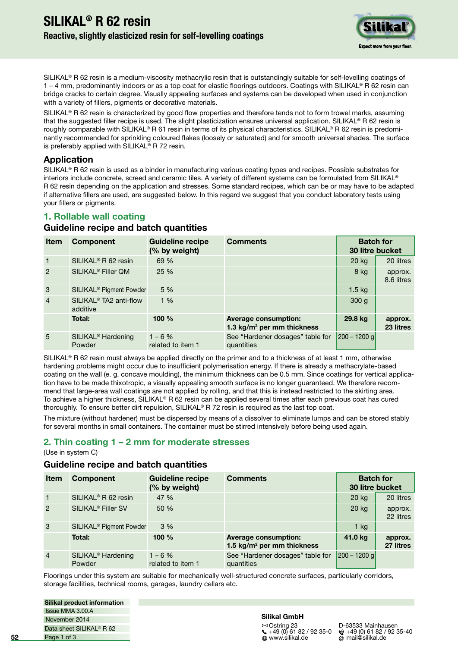

SILIKAL<sup>®</sup> R 62 resin is a medium-viscosity methacrylic resin that is outstandingly suitable for self-levelling coatings of 1 – 4 mm, predominantly indoors or as a top coat for elastic loorings outdoors. Coatings with SILIKAL® R 62 resin can bridge cracks to certain degree. Visually appealing surfaces and systems can be developed when used in conjunction with a variety of fillers, pigments or decorative materials.

SILIKAL® R 62 resin is characterized by good flow properties and therefore tends not to form trowel marks, assuming that the suggested filler recipe is used. The slight plasticization ensures universal application. SILIKAL® R 62 resin is roughly comparable with SILIKAL® R 61 resin in terms of its physical characteristics. SILIKAL® R 62 resin is predominantly recommended for sprinkling coloured flakes (loosely or saturated) and for smooth universal shades. The surface is preferably applied with SILIKAL<sup>®</sup> R 72 resin.

### **Application**

SILIKAL® R 62 resin is used as a binder in manufacturing various coating types and recipes. Possible substrates for interiors include concrete, screed and ceramic tiles. A variety of different systems can be formulated from SILIKAL® R 62 resin depending on the application and stresses. Some standard recipes, which can be or may have to be adapted if alternative illers are used, are suggested below. In this regard we suggest that you conduct laboratory tests using your fillers or pigments.

# **1. Rollable wall coating**

#### **Guideline recipe and batch quantities**

| <b>Item</b>     | <b>Component</b>                               | <b>Guideline recipe</b><br>(% by weight) | <b>Comments</b>                                                       | <b>Batch for</b><br>30 litre bucket |                       |
|-----------------|------------------------------------------------|------------------------------------------|-----------------------------------------------------------------------|-------------------------------------|-----------------------|
| $\mathbf{1}$    | SILIKAL <sup>®</sup> R 62 resin                | 69 %                                     |                                                                       | 20 kg                               | 20 litres             |
| 2               | SILIKAL <sup>®</sup> Filler QM                 | 25 %                                     |                                                                       | 8 kg                                | approx.<br>8.6 litres |
| 3               | SILIKAL <sup>®</sup> Pigment Powder            | 5 %                                      |                                                                       | $1.5$ kg                            |                       |
| $\overline{4}$  | SILIKAL <sup>®</sup> TA2 anti-flow<br>additive | 1%                                       |                                                                       | 300 g                               |                       |
|                 | Total:                                         | 100 %                                    | <b>Average consumption:</b><br>1.3 kg/m <sup>2</sup> per mm thickness | 29.8 kg                             | approx.<br>23 litres  |
| $5\overline{)}$ | SILIKAL <sup>®</sup> Hardening<br>Powder       | $1 - 6%$<br>related to item 1            | See "Hardener dosages" table for<br>quantities                        | $ 200 - 1200$ g                     |                       |

SILIKAL® R 62 resin must always be applied directly on the primer and to a thickness of at least 1 mm, otherwise hardening problems might occur due to insuficient polymerisation energy. If there is already a methacrylate-based coating on the wall (e. g. concave moulding), the minimum thickness can be 0.5 mm. Since coatings for vertical application have to be made thixotropic, a visually appealing smooth surface is no longer guaranteed. We therefore recommend that large-area wall coatings are not applied by rolling, and that this is instead restricted to the skirting area. To achieve a higher thickness, SILIKAL® R 62 resin can be applied several times after each previous coat has cured thoroughly. To ensure better dirt repulsion, SILIKAL® R 72 resin is required as the last top coat.

The mixture (without hardener) must be dispersed by means of a dissolver to eliminate lumps and can be stored stably for several months in small containers. The container must be stirred intensively before being used again.

## **2. Thin coating 1 – 2 mm for moderate stresses**

(Use in system C)

### **Guideline recipe and batch quantities**

| <b>Item</b>    | <b>Component</b>                         | <b>Guideline recipe</b><br>(% by weight) | <b>Comments</b>                                                       | <b>Batch for</b><br>30 litre bucket |                      |
|----------------|------------------------------------------|------------------------------------------|-----------------------------------------------------------------------|-------------------------------------|----------------------|
| $\vert$ 1      | SILIKAL <sup>®</sup> R 62 resin          | 47 %                                     |                                                                       | $20$ kg                             | 20 litres            |
| 2              | SILIKAL <sup>®</sup> Filler SV           | 50 %                                     |                                                                       | 20 kg                               | approx.<br>22 litres |
| 3              | SILIKAL <sup>®</sup> Pigment Powder      | 3%                                       |                                                                       | $1$ kg                              |                      |
|                | Total:                                   | 100 $%$                                  | <b>Average consumption:</b><br>1.5 kg/m <sup>2</sup> per mm thickness | 41.0 kg                             | approx.<br>27 litres |
| $\overline{4}$ | SILIKAL <sup>®</sup> Hardening<br>Powder | $1 - 6 \%$<br>related to item 1          | See "Hardener dosages" table for<br>quantities                        | 200 – 1200 gl                       |                      |

Floorings under this system are suitable for mechanically well-structured concrete surfaces, particularly corridors, storage facilities, technical rooms, garages, laundry cellars etc.

| Silikal product information          |
|--------------------------------------|
| Issue MMA 3.00.A                     |
| November 2014                        |
| Data sheet SILIKAL <sup>®</sup> R 62 |
| Page 1 of 3                          |

#### **Silikal GmbH**

 Ostring 23 D-63533 Mainhausen  $\leftarrow$  +49 (0) 61 82 / 92 35-0<br>  $\oplus$  www.silikal.de

 $\phi$  mail@silikal.de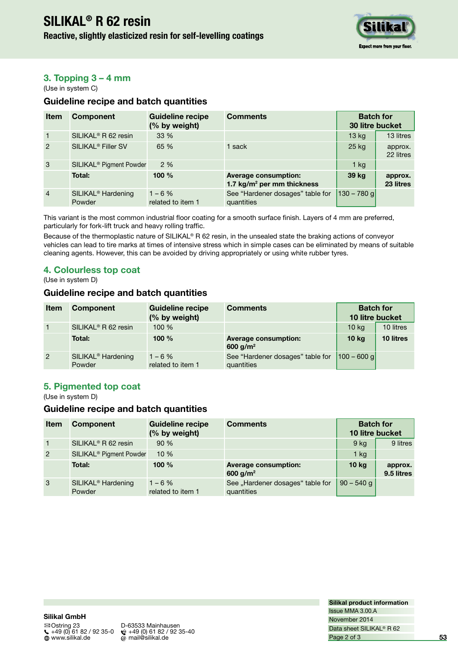## **Reactive, slightly elasticized resin for self-levelling coatings**



## **3. Topping 3 – 4 mm**

(Use in system C)

### **Guideline recipe and batch quantities**

| <b>Item</b>    | <b>Component</b>                         | <b>Guideline recipe</b><br>(% by weight) | <b>Comments</b>                                                       | <b>Batch for</b><br>30 litre bucket |                      |
|----------------|------------------------------------------|------------------------------------------|-----------------------------------------------------------------------|-------------------------------------|----------------------|
| $\mathbf{1}$   | SILIKAL <sup>®</sup> R 62 resin          | $33\%$                                   |                                                                       | 13 <sub>kg</sub>                    | 13 litres            |
| $\overline{2}$ | SILIKAL <sup>®</sup> Filler SV           | 65 %                                     | 1 sack                                                                | 25 kg                               | approx.<br>22 litres |
| $\mathbf{3}$   | SILIKAL <sup>®</sup> Pigment Powder      | 2%                                       |                                                                       | $1$ kg                              |                      |
|                | <b>Total:</b>                            | 100 $%$                                  | <b>Average consumption:</b><br>1.7 kg/m <sup>2</sup> per mm thickness | 39 kg                               | approx.<br>23 litres |
| $\overline{4}$ | SILIKAL <sup>®</sup> Hardening<br>Powder | $1 - 6 \%$<br>related to item 1          | See "Hardener dosages" table for<br>quantities                        | $ 130 - 780 g $                     |                      |

This variant is the most common industrial floor coating for a smooth surface finish. Layers of 4 mm are preferred, particularly for fork-lift truck and heavy rolling trafic.

Because of the thermoplastic nature of SILIKAL® R 62 resin, in the unsealed state the braking actions of conveyor vehicles can lead to tire marks at times of intensive stress which in simple cases can be eliminated by means of suitable cleaning agents. However, this can be avoided by driving appropriately or using white rubber tyres.

## **4. Colourless top coat**

(Use in system D)

#### **Guideline recipe and batch quantities**

| <b>Item</b>      | <b>Component</b>                         | <b>Guideline recipe</b><br>(% by weight) | <b>Comments</b>                                     | <b>Batch for</b><br>10 litre bucket |           |
|------------------|------------------------------------------|------------------------------------------|-----------------------------------------------------|-------------------------------------|-----------|
| $\left(1\right)$ | SILIKAL <sup>®</sup> R 62 resin          | 100%                                     |                                                     | 10 <sub>kg</sub>                    | 10 litres |
|                  | Total:                                   | 100 $%$                                  | <b>Average consumption:</b><br>600 g/m <sup>2</sup> | 10 <sub>kg</sub>                    | 10 litres |
| $\overline{2}$   | SILIKAL <sup>®</sup> Hardening<br>Powder | $1 - 6 \%$<br>related to item 1          | See "Hardener dosages" table for<br>quantities      | $ 100 - 600$ g                      |           |

## **5. Pigmented top coat**

(Use in system D)

### **Guideline recipe and batch quantities**

| <b>Item</b>    | <b>Component</b>                         | <b>Guideline recipe</b><br>(% by weight) | <b>Comments</b>                                     | <b>Batch for</b><br>10 litre bucket |                       |
|----------------|------------------------------------------|------------------------------------------|-----------------------------------------------------|-------------------------------------|-----------------------|
| $\overline{1}$ | SILIKAL <sup>®</sup> R 62 resin          | 90%                                      |                                                     | 9 <sub>ka</sub>                     | 9 litres              |
| $\overline{2}$ | SILIKAL <sup>®</sup> Pigment Powder      | 10%                                      |                                                     | $1$ kg                              |                       |
|                | Total:                                   | 100 $%$                                  | <b>Average consumption:</b><br>600 g/m <sup>2</sup> | 10 <sub>kg</sub>                    | approx.<br>9.5 litres |
| 3              | SILIKAL <sup>®</sup> Hardening<br>Powder | $1 - 6 \%$<br>related to item 1          | See "Hardener dosages" table for<br>quantities      | $90 - 540$ g                        |                       |

**Silikal GmbH**  $\begin{array}{r} \begin{array}{c} \bigstar \rightarrow 49 \ (0) \ 61 \ 82 \end{array} \end{array}$  49 (0) 61 82 / 92 35-0

 Ostring 23 D-63533 Mainhausen  $\omega$  mail@silikal.de

**Silikal product information** November 2014 Issue MMA 3.00.A Page 2 of 3 Data sheet SILIKAL® R 62